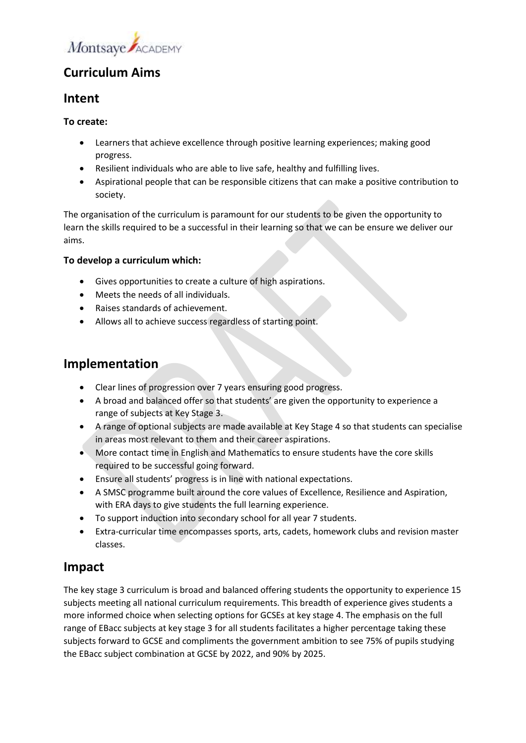

# **Curriculum Aims**

### **Intent**

### **To create:**

- Learners that achieve excellence through positive learning experiences; making good progress.
- Resilient individuals who are able to live safe, healthy and fulfilling lives.
- Aspirational people that can be responsible citizens that can make a positive contribution to society.

The organisation of the curriculum is paramount for our students to be given the opportunity to learn the skills required to be a successful in their learning so that we can be ensure we deliver our aims.

### **To develop a curriculum which:**

- Gives opportunities to create a culture of high aspirations.
- Meets the needs of all individuals.
- Raises standards of achievement.
- Allows all to achieve success regardless of starting point.

### **Implementation**

- Clear lines of progression over 7 years ensuring good progress.
- A broad and balanced offer so that students' are given the opportunity to experience a range of subjects at Key Stage 3.
- A range of optional subjects are made available at Key Stage 4 so that students can specialise in areas most relevant to them and their career aspirations.
- More contact time in English and Mathematics to ensure students have the core skills required to be successful going forward.
- Ensure all students' progress is in line with national expectations.
- A SMSC programme built around the core values of Excellence, Resilience and Aspiration, with ERA days to give students the full learning experience.
- To support induction into secondary school for all year 7 students.
- Extra-curricular time encompasses sports, arts, cadets, homework clubs and revision master classes.

### **Impact**

The key stage 3 curriculum is broad and balanced offering students the opportunity to experience 15 subjects meeting all national curriculum requirements. This breadth of experience gives students a more informed choice when selecting options for GCSEs at key stage 4. The emphasis on the full range of EBacc subjects at key stage 3 for all students facilitates a higher percentage taking these subjects forward to GCSE and compliments the government ambition to see 75% of pupils studying the EBacc subject combination at GCSE by 2022, and 90% by 2025.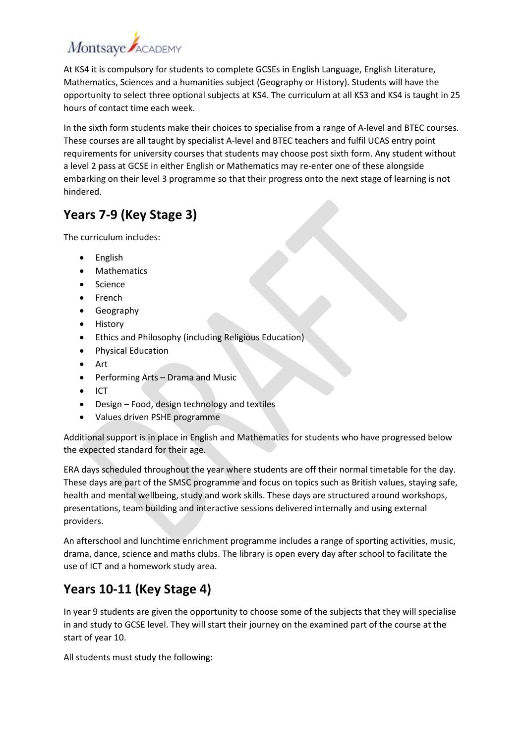# Montsaye ACADEMY

At KS4 it is compulsory for students to complete GCSEs in English Language, English Literature, Mathematics, Sciences and a humanities subject (Geography or History). Students will have the opportunity to select three optional subjects at KS4. The curriculum at all KS3 and KS4 is taught in 25 hours of contact time each week.

In the sixth form students make their choices to specialise from a range of A-level and BTEC courses. These courses are all taught by specialist A-level and BTEC teachers and fulfil UCAS entry point requirements for university courses that students may choose post sixth form. Any student without a level 2 pass at GCSE in either English or Mathematics may re-enter one of these alongside embarking on their level 3 programme so that their progress onto the next stage of learning is not hindered.

# **Years 7-9 (Key Stage 3)**

The curriculum includes:

- English
- Mathematics
- Science
- French
- Geography
- History
- Ethics and Philosophy (including Religious Education)
- Physical Education
- Art
- Performing Arts Drama and Music
- ICT
- Design Food, design technology and textiles
- Values driven PSHE programme

Additional support is in place in English and Mathematics for students who have progressed below the expected standard for their age.

ERA days scheduled throughout the year where students are off their normal timetable for the day. These days are part of the SMSC programme and focus on topics such as British values, staying safe, health and mental wellbeing, study and work skills. These days are structured around workshops, presentations, team building and interactive sessions delivered internally and using external providers.

An afterschool and lunchtime enrichment programme includes a range of sporting activities, music, drama, dance, science and maths clubs. The library is open every day after school to facilitate the use of ICT and a homework study area.

## **Years 10-11 (Key Stage 4)**

In year 9 students are given the opportunity to choose some of the subjects that they will specialise in and study to GCSE level. They will start their journey on the examined part of the course at the start of year 10.

All students must study the following: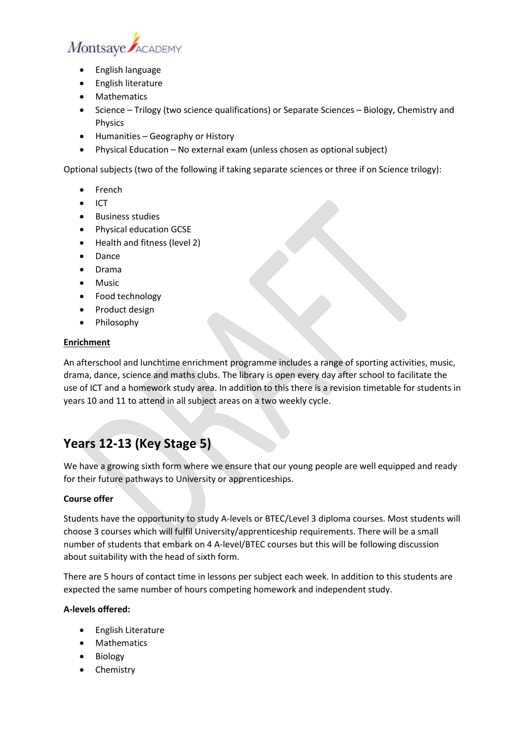

- English language
- English literature
- Mathematics
- Science Trilogy (two science qualifications) or Separate Sciences Biology, Chemistry and Physics
- Humanities Geography or History
- Physical Education No external exam (unless chosen as optional subject)

Optional subjects (two of the following if taking separate sciences or three if on Science trilogy):

- French
- ICT
- Business studies
- Physical education GCSE
- Health and fitness (level 2)
- Dance
- Drama
- Music
- Food technology
- Product design
- Philosophy

#### **Enrichment**

An afterschool and lunchtime enrichment programme includes a range of sporting activities, music, drama, dance, science and maths clubs. The library is open every day after school to facilitate the use of ICT and a homework study area. In addition to this there is a revision timetable for students in years 10 and 11 to attend in all subject areas on a two weekly cycle.

## **Years 12-13 (Key Stage 5)**

We have a growing sixth form where we ensure that our young people are well equipped and ready for their future pathways to University or apprenticeships.

#### **Course offer**

Students have the opportunity to study A-levels or BTEC/Level 3 diploma courses. Most students will choose 3 courses which will fulfil University/apprenticeship requirements. There will be a small number of students that embark on 4 A-level/BTEC courses but this will be following discussion about suitability with the head of sixth form.

There are 5 hours of contact time in lessons per subject each week. In addition to this students are expected the same number of hours competing homework and independent study.

### **A-levels offered:**

- English Literature
- Mathematics
- Biology
- Chemistry